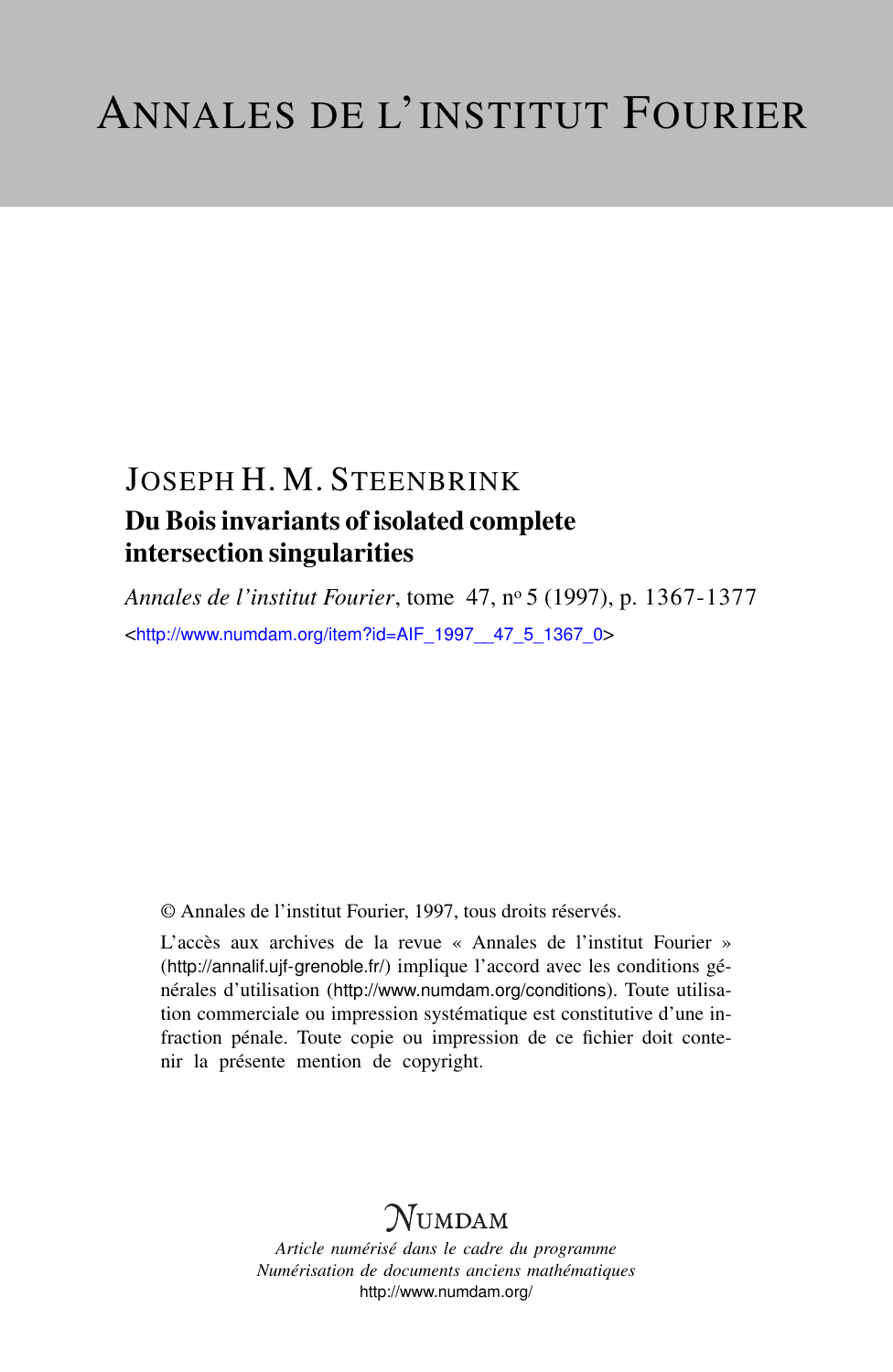# JOSEPH H. M. STEENBRINK Du Bois invariants of isolated complete intersection singularities

*Annales de l'institut Fourier*, tome 47, n<sup>o</sup> 5 (1997), p. 1367-1377 <[http://www.numdam.org/item?id=AIF\\_1997\\_\\_47\\_5\\_1367\\_0](http://www.numdam.org/item?id=AIF_1997__47_5_1367_0)>

© Annales de l'institut Fourier, 1997, tous droits réservés.

L'accès aux archives de la revue « Annales de l'institut Fourier » (<http://annalif.ujf-grenoble.fr/>) implique l'accord avec les conditions générales d'utilisation (<http://www.numdam.org/conditions>). Toute utilisation commerciale ou impression systématique est constitutive d'une infraction pénale. Toute copie ou impression de ce fichier doit contenir la présente mention de copyright.

# NUMDAM

*Article numérisé dans le cadre du programme Numérisation de documents anciens mathématiques* <http://www.numdam.org/>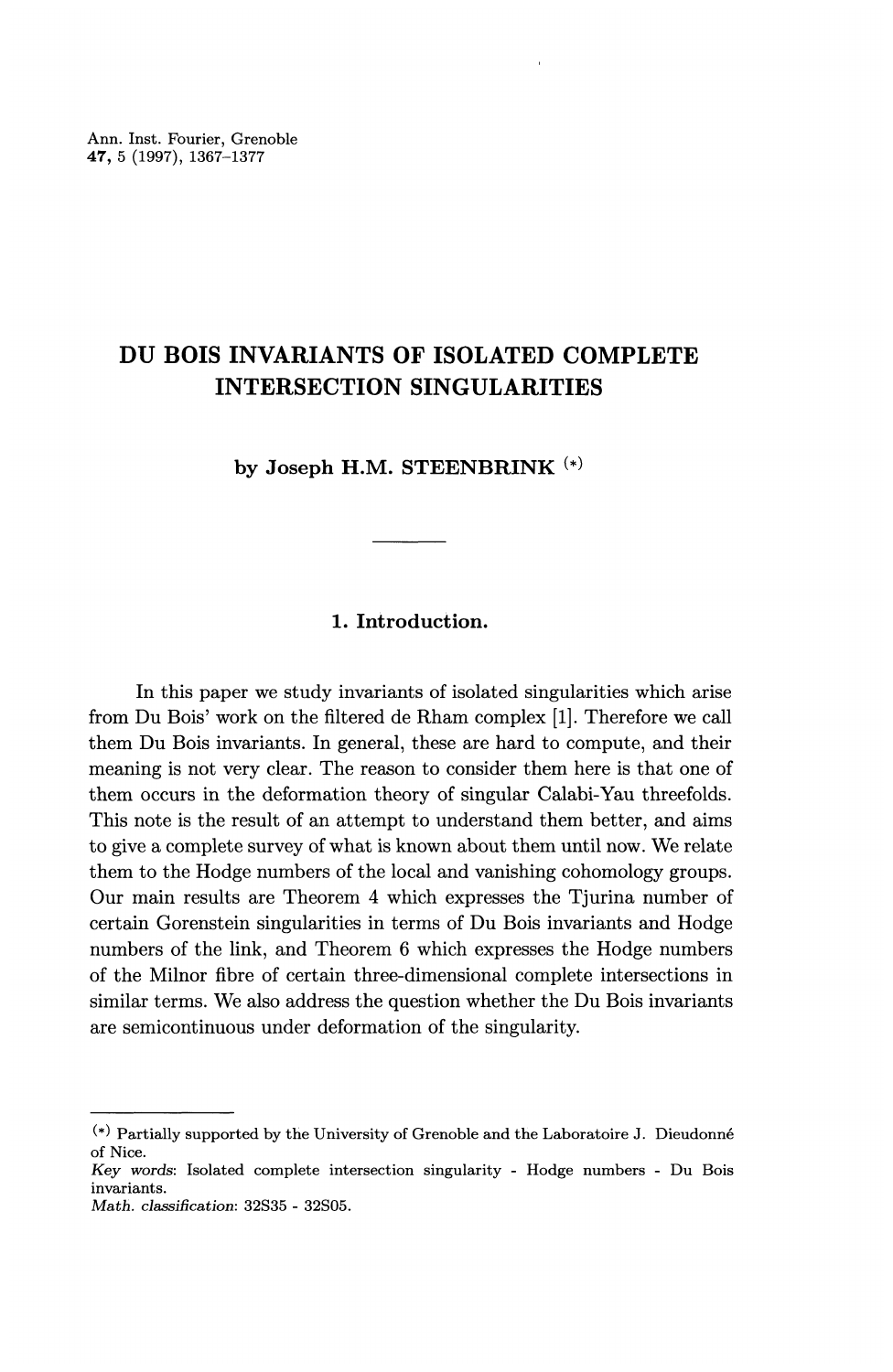# **DU BOIS INVARIANTS OF ISOLATED COMPLETE INTERSECTION SINGULARITIES**

**by Joseph H.M. STEENBRINK (\*)**

# **1. Introduction.**

In this paper we study invariants of isolated singularities which arise from Du Bois' work on the filtered de Rham complex [1]. Therefore we call them Du Bois invariants. In general, these are hard to compute, and their meaning is not very clear. The reason to consider them here is that one of them occurs in the deformation theory of singular Calabi-Yau threefolds. This note is the result of an attempt to understand them better, and aims to give a complete survey of what is known about them until now. We relate them to the Hodge numbers of the local and vanishing cohomology groups. Our main results are Theorem 4 which expresses the Tjurina number of certain Gorenstein singularities in terms of Du Bois invariants and Hodge numbers of the link, and Theorem 6 which expresses the Hodge numbers of the Milnor fibre of certain three-dimensional complete intersections in similar terms. We also address the question whether the Du Bois invariants are semicontinuous under deformation of the singularity.

 $(*)$  Partially supported by the University of Grenoble and the Laboratoire J. Dieudonné of Nice.

*Key words:* Isolated complete intersection singularity - Hodge numbers - Du Bois invariants.

*Math. classification:* 32S35 - 32S05.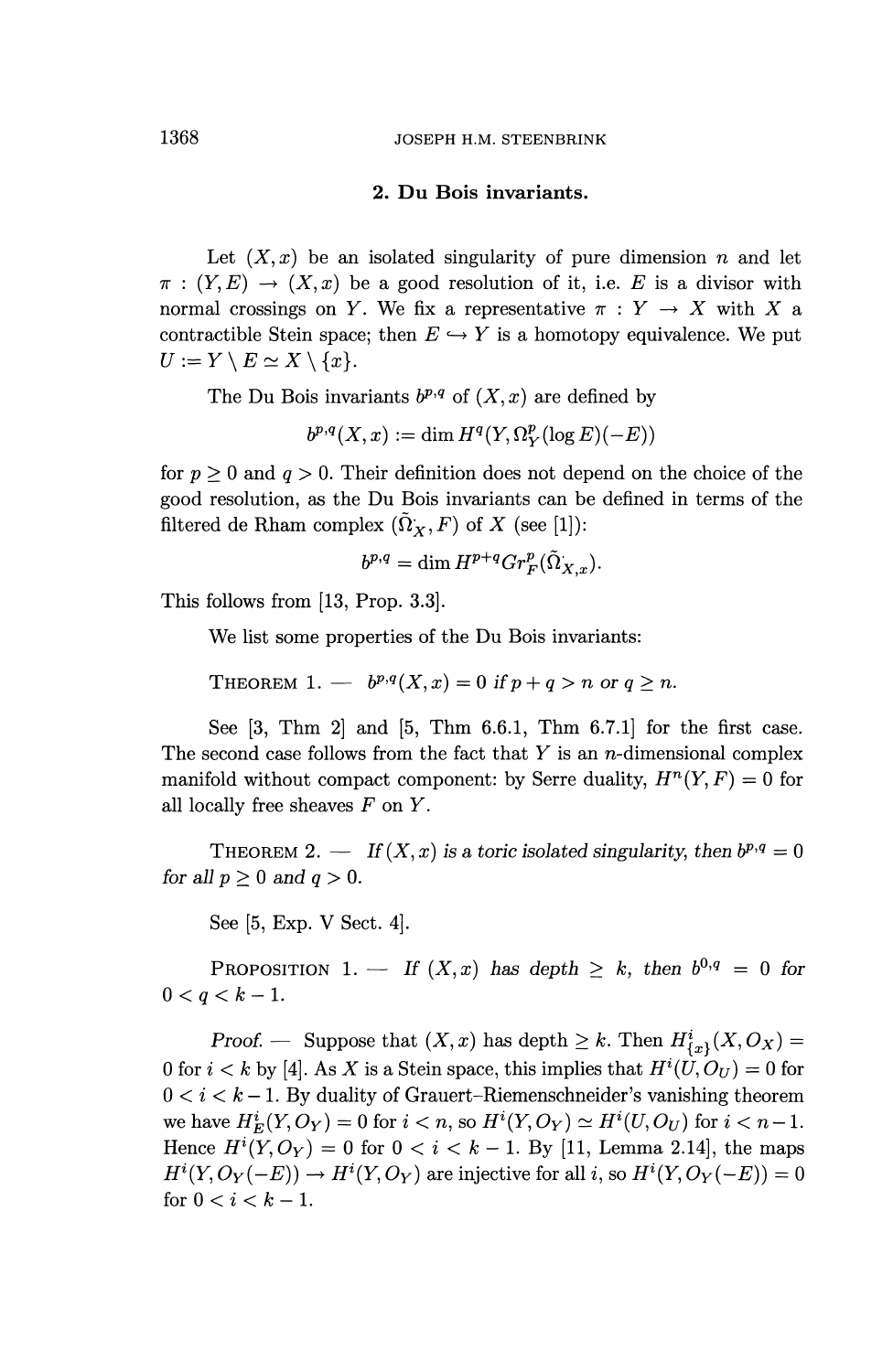#### **2. Du Bois invariants.**

Let  $(X, x)$  be an isolated singularity of pure dimension *n* and let  $\pi$ :  $(Y, E) \rightarrow (X, x)$  be a good resolution of it, i.e. E is a divisor with normal crossings on Y. We fix a representative  $\pi: Y \to X$  with X a contractible Stein space; then  $E \hookrightarrow Y$  is a homotopy equivalence. We put  $U:=Y\setminus E\simeq X\setminus\{x\}.$ 

The Du Bois invariants  $b^{p,q}$  of  $(X, x)$  are defined by

 $b^{p,q}(X,x) := \dim H^q(Y,\Omega_Y^p(\log E)(-E))$ 

for  $p \ge 0$  and  $q > 0$ . Their definition does not depend on the choice of the good resolution, as the Du Bois invariants can be defined in terms of the filtered de Rham complex  $(\tilde{\Omega}_X, F)$  of *X* (see [1]):

$$
b^{p,q} = \dim H^{p+q} Gr_F^p(\tilde{\Omega}_{X,x}).
$$

This follows from [13, Prop. 3.3].

We list some properties of the Du Bois invariants:

THEOREM 1. —  $b^{p,q}(X,x)=0$  if  $p+q>n$  or  $q\geq n$ .

See [3, Thm 2] and [5, Thm 6.6.1, Thm 6.7.1] for the first case. The second case follows from the fact that  $Y$  is an  $n$ -dimensional complex manifold without compact component: by Serre duality,  $H^n(Y, F) = 0$  for all locally free sheaves *F* on *Y.*

THEOREM 2. — If  $(X, x)$  is a toric isolated singularity, then  $b^{p,q} = 0$ *for all*  $p \geq 0$  *and*  $q > 0$ *.* 

See [5, **Exp. V** Sect. 4].

PROPOSITION 1. — If  $(X, x)$  has depth  $\geq k$ , then  $b^{0,q} = 0$  for  $0 < q < k-1$ .

*Proof.* — Suppose that  $(X, x)$  has depth  $\geq k$ . Then  $H^i_{\{x\}}(X, O_X) =$ 0 for  $i < k$  by [4]. As X is a Stein space, this implies that  $H^{i}(U, O_{U}) = 0$  for  $0 < i < k-1$ . By duality of Grauert-Riemenschneider's vanishing theorem we have  $H^i_E(Y, O_Y) = 0$  for  $i < n$ , so  $H^i(Y, O_Y) \simeq H^i(U, O_U)$  for  $i < n - 1$ . Hence  $H^{i}(Y, O_Y) = 0$  for  $0 < i < k - 1$ . By [11, Lemma 2.14], the maps  $H^{i}(Y, O_{Y}(-E)) \to H^{i}(Y, O_{Y})$  are injective for all i, so  $H^{i}(Y, O_{Y}(-E)) = 0$ for  $0 < i < k - 1$ .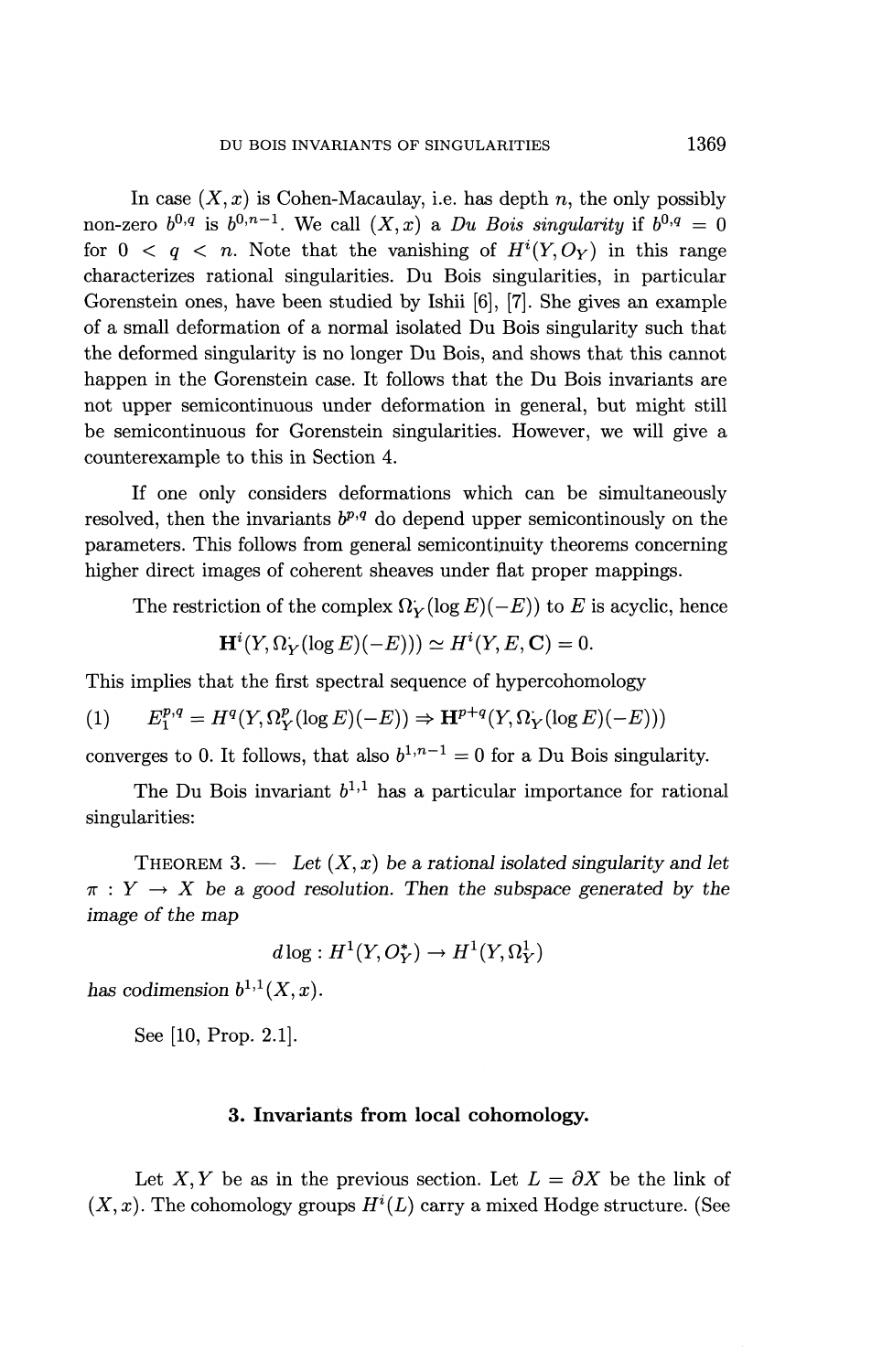In case  $(X, x)$  is Cohen-Macaulay, i.e. has depth n, the only possibly non-zero  $b^{0,q}$  is  $b^{0,n-1}$ . We call  $(X, x)$  a *Du Bois singularity* if  $b^{0,q} = 0$ for  $0 \lt q \lt n$ . Note that the vanishing of  $H^{i}(Y, O_{Y})$  in this range characterizes rational singularities. Du Bois singularities, in particular Gorenstein ones, have been studied by Ishii [6], [7]. She gives an example of a small deformation of a normal isolated Du Bois singularity such that the deformed singularity is no longer Du Bois, and shows that this cannot happen in the Gorenstein case. It follows that the Du Bois invariants are not upper semicontinuous under deformation in general, but might still be semicontinuous for Gorenstein singularities. However, we will give a counterexample to this in Section 4.

If one only considers deformations which can be simultaneously resolved, then the invariants  $b^{p,q}$  do depend upper semicontinously on the parameters. This follows from general semicontmuity theorems concerning higher direct images of coherent sheaves under flat proper mappings.

The restriction of the complex  $\Omega_V (\log E)(-E)$  to *E* is acyclic, hence

$$
\mathbf{H}^{i}(Y,\Omega_{Y}(\log E)(-E))) \simeq H^{i}(Y,E,\mathbf{C}) = 0.
$$

This implies that the first spectral sequence of hypercohomology

(1) 
$$
E_1^{p,q} = H^q(Y, \Omega_Y^p(\log E)(-E)) \Rightarrow \mathbf{H}^{p+q}(Y, \Omega_Y(\log E)(-E)))
$$

converges to 0. It follows, that also  $b^{1,n-1} = 0$  for a Du Bois singularity.

The Du Bois invariant  $b^{1,1}$  has a particular importance for rational singularities:

THEOREM 3. — Let  $(X, x)$  be a rational isolated singularity and let  $\pi: Y \to X$  be a good resolution. Then the subspace generated by the *image of the map*

$$
d\log: H^1(Y, O_Y^*) \to H^1(Y, \Omega_Y^1)
$$

has codimension  $b^{1,1}(X,x)$ .

See [10, Prop. 2.1].

# **3. Invariants from local cohomology.**

Let X, Y be as in the previous section. Let  $L = \partial X$  be the link of  $(X, x)$ . The cohomology groups  $H^{i}(L)$  carry a mixed Hodge structure. (See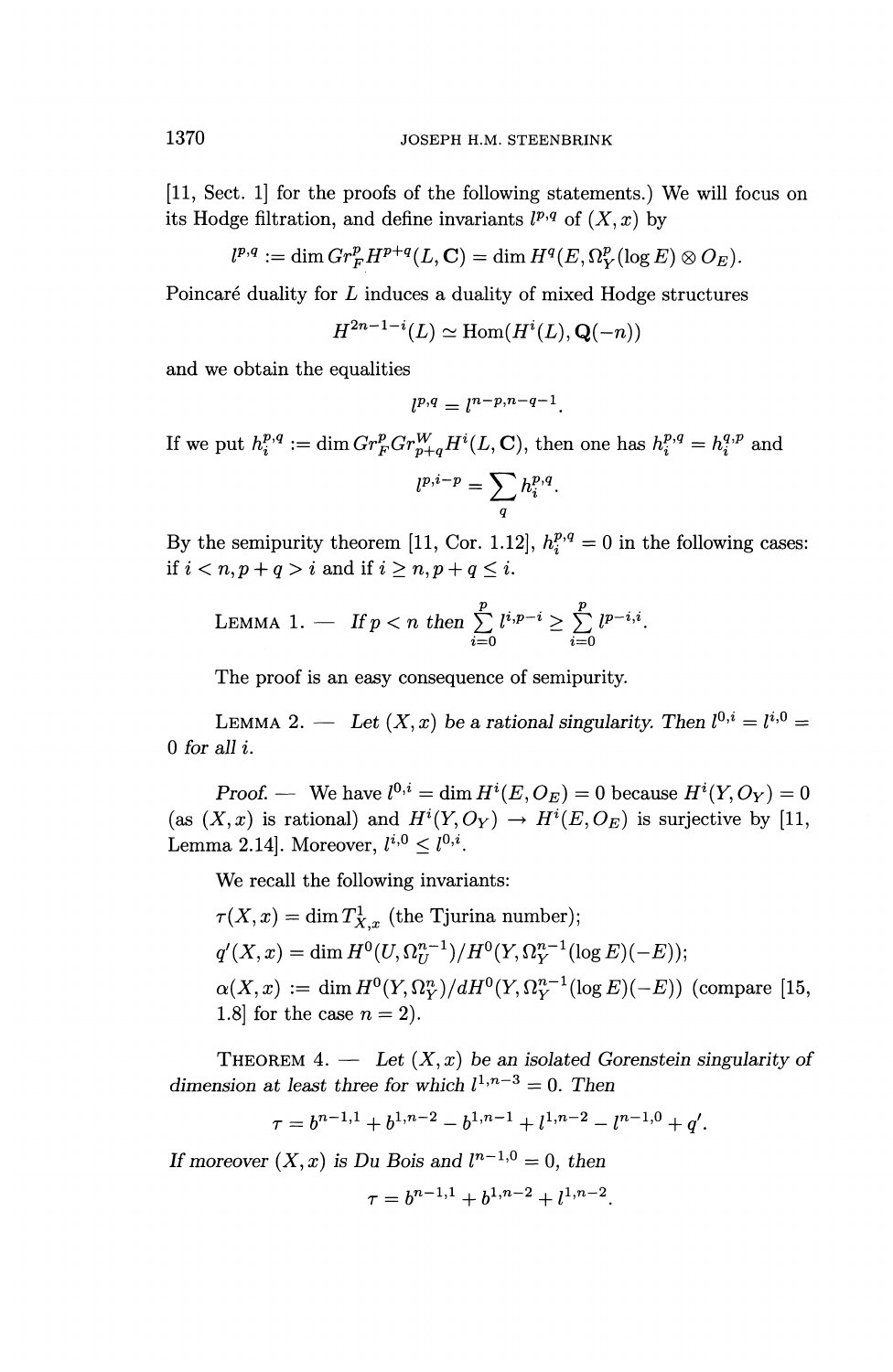[11, Sect. 1] for the proofs of the following statements.) We will focus on its Hodge filtration, and define invariants  $l^{p,q}$  of  $(X, x)$  by

$$
l^{p,q} := \dim Gr_F^p H^{p+q}(L,\mathbf{C}) = \dim H^q(E,\Omega_Y^p(\log E) \otimes O_E).
$$

Poincaré duality for *L* induces a duality of mixed Hodge structures

$$
H^{2n-1-i}(L) \simeq \text{Hom}(H^i(L), \mathbf{Q}(-n))
$$

and we obtain the equalities

$$
l^{p,q} = l^{n-p,n-q-1}.
$$

If we put  $h_i^{p,q} := \dim Gr_F^pGr_{n+q}^WH^i(L, \mathbf{C})$ , then one has  $h_i^{p,q} = h_i^{q,p}$  and

$$
l^{p,i-p} = \sum_{q} h_i^{p,q}.
$$

By the semipurity theorem [11, Cor. 1.12],  $h_i^{p,q} = 0$  in the following cases: if  $i < n, p + q > i$  and if  $i \ge n, p + q \le i$ .

LEMMA 1. — If 
$$
p < n
$$
 then  $\sum_{i=0}^{p} l^{i,p-i} \ge \sum_{i=0}^{p} l^{p-i,i}$ .

The proof is an easy consequence of semipurity.

LEMMA 2. — Let  $(X, x)$  be a rational singularity. Then  $l^{0,i} = l^{i,0} =$ 0 *for all i.*

*Proof.* — We have  $l^{0,i} = \dim H^i(E, O_F) = 0$  because  $H^i(Y, O_Y) = 0$ (as  $(X, x)$  is rational) and  $H^i(Y, O_Y) \to H^i(E, O_E)$  is surjective by [11, Lemma 2.14]. Moreover,  $l^{i,0} < l^{0,i}$ .

We recall the following invariants:

$$
\tau(X,x) = \dim T^1_{X,x}
$$
 (the Tjurina number);  
\n $q'(X,x) = \dim H^0(U,\Omega_U^{n-1})/H^0(Y,\Omega_Y^{n-1}(\log E)(-E));$   
\n $\alpha(X,x) := \dim H^0(Y,\Omega_Y^n)/dH^0(Y,\Omega_Y^{n-1}(\log E)(-E))$  (compare [15, 1.8] for the case  $n = 2$ ).

THEOREM  $4.$  — Let  $(X, x)$  be an isolated Gorenstein singularity of dimension at least three for which  $l^{1,n-3} = 0$ . Then

$$
\tau = b^{n-1,1} + b^{1,n-2} - b^{1,n-1} + l^{1,n-2} - l^{n-1,0} + q'.
$$

*If moreover*  $(X, x)$  *is Du Bois and*  $l^{n-1,0} = 0$ *, then* 

$$
\tau = b^{n-1,1} + b^{1,n-2} + l^{1,n-2}.
$$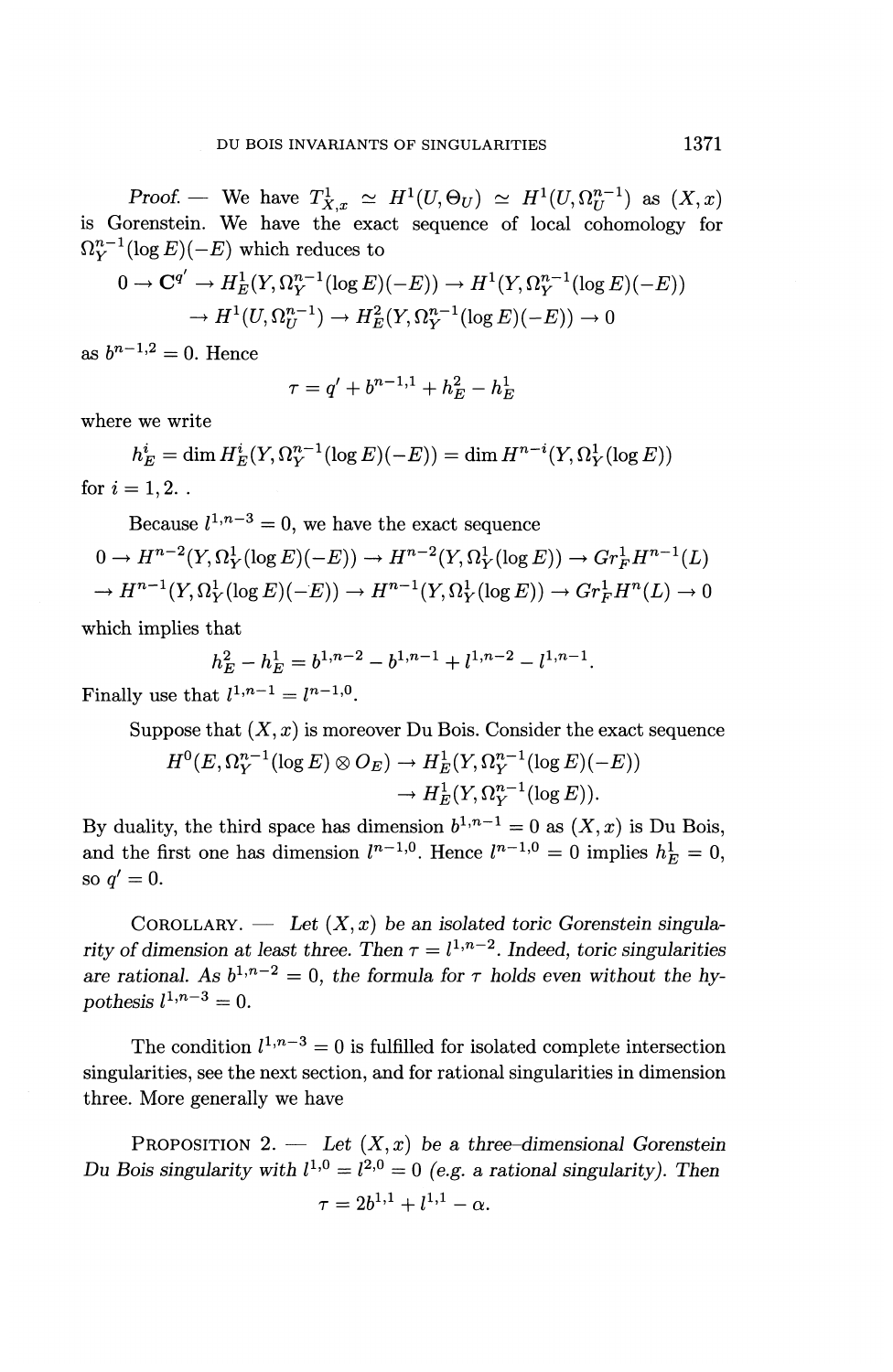*Proof.* — We have  $T_{X,x}^1 \simeq H^1(U,\Theta_U) \simeq H^1(U,\Omega_U^{n-1})$  as  $(X,x)$ is Gorenstein. We have the exact sequence of local cohomology for  $\Omega_Y^{n-1}(\log E)(-E)$  which reduces to

$$
0 \to \mathbf{C}^{q'} \to H_E^1(Y, \Omega_Y^{n-1}(\log E)(-E)) \to H^1(Y, \Omega_Y^{n-1}(\log E)(-E))
$$
  

$$
\to H^1(U, \Omega_U^{n-1}) \to H_E^2(Y, \Omega_Y^{n-1}(\log E)(-E)) \to 0
$$

as  $b^{n-1,2} = 0$ . Hence

$$
\tau = q' + b^{n-1,1} + h_E^2 - h_E^1
$$

where we write

 $h_E^i = \dim H_E^i(Y, \Omega_V^{n-1}(\log E)(-E)) = \dim H^{n-i}(Y, \Omega_V^1(\log E))$ for  $i = 1, 2$ ..

Because  $l^{1,n-3} = 0$ , we have the exact sequence

$$
0 \to H^{n-2}(Y, \Omega^1_Y(\log E)(-E)) \to H^{n-2}(Y, \Omega^1_Y(\log E)) \to Gr_F^1 H^{n-1}(L)
$$
  

$$
\to H^{n-1}(Y, \Omega^1_Y(\log E)(-E)) \to H^{n-1}(Y, \Omega^1_Y(\log E)) \to Gr_F^1 H^n(L) \to 0
$$

which implies that

$$
h_E^2 - h_E^1 = b^{1, n-2} - b^{1, n-1} + l^{1, n-2} - l^{1, n-1}.
$$

Finally use that  $l^{1,n-1} = l^{n-1,0}$ .

Suppose that  $(X, x)$  is moreover Du Bois. Consider the exact sequence  $H^0(E, \Omega_Y^{n-1}(\log E) \otimes O_E) \to H_E^1(Y, \Omega_Y^{n-1}(\log E)(-E))$  $\rightarrow H_E^1(Y, \Omega_Y^{n-1}(\log E)).$ 

By duality, the third space has dimension  $b^{1,n-1} = 0$  as  $(X, x)$  is Du Bois, and the first one has dimension  $l^{n-1,0}$ . Hence  $l^{n-1,0} = 0$  implies  $h_E^1 = 0$ . so  $q' = 0$ .

COROLLARY. — Let  $(X, x)$  be an isolated toric Gorenstein singularity of dimension at least three. Then  $\tau = l^{1,n-2}$ . Indeed, toric singularities are rational. As  $b^{1,n-2} = 0$ , the formula for  $\tau$  holds even without the hy*pothesis*  $l^{1,n-3} = 0$ .

The condition  $l^{1,n-3} = 0$  is fulfilled for isolated complete intersection singularities, see the next section, and for rational singularities in dimension three. More generally we have

PROPOSITION 2. — *Let (X,x) be a three-dimensional Gorenstein Du Bois singularity with*  $l^{1,0} = l^{2,0} = 0$  (e.g. a rational singularity). Then  $\tau = 2b^{1,1} + l^{1,1} - \alpha.$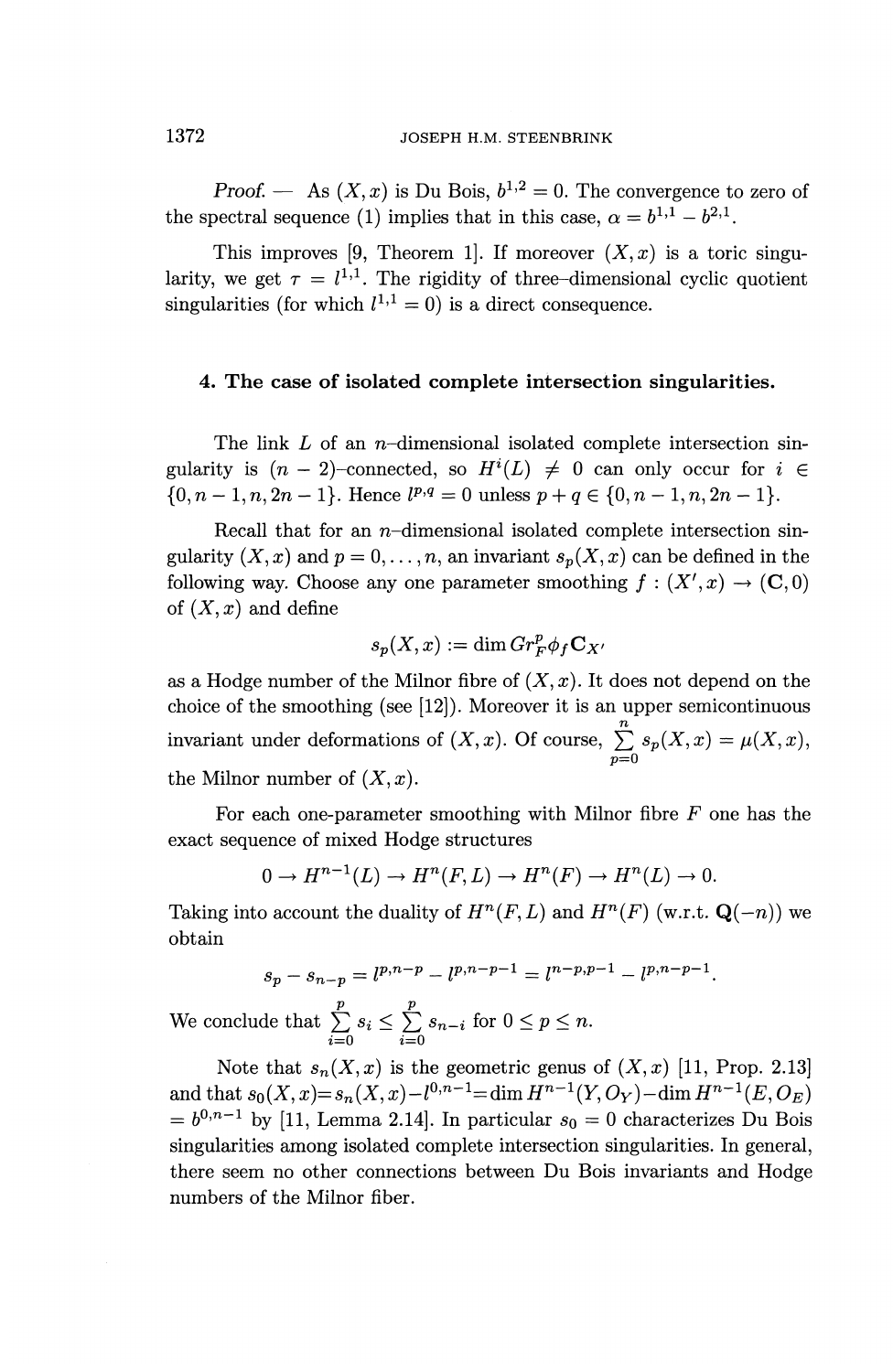*Proof.* — As  $(X, x)$  is Du Bois,  $b^{1,2} = 0$ . The convergence to zero of the spectral sequence (1) implies that in this case,  $\alpha = b^{1,1} - b^{2,1}$ .

This improves [9, Theorem 1]. If moreover  $(X, x)$  is a toric singularity, we get  $\tau = l^{1,1}$ . The rigidity of three-dimensional cyclic quotient singularities (for which  $l^{1,1} = 0$ ) is a direct consequence.

## **4. The case of isolated complete intersection singularities.**

The link L of an n-dimensional isolated complete intersection singularity is  $(n-2)$ -connected, so  $H^i(L) \neq 0$  can only occur for  $i \in$  $\{0, n-1, n, 2n-1\}$ . Hence  $l^{p,q} = 0$  unless  $p + q \in \{0, n-1, n, 2n-1\}$ .

Recall that for an  $n$ -dimensional isolated complete intersection singularity  $(X, x)$  and  $p = 0, \ldots, n$ , an invariant  $s_p(X, x)$  can be defined in the following way. Choose any one parameter smoothing  $f : (X', x) \to (\mathbb{C}, 0)$ of  $(X, x)$  and define

$$
s_p(X,x) := \dim Gr_F^p \phi_f \mathbf{C}_{X'}
$$

as a Hodge number of the Milnor fibre of  $(X, x)$ . It does not depend on the choice of the smoothing (see [12]). Moreover it is an upper semicontinuous invariant under deformations of  $(X, x)$ . Of course,  $\sum_{p=0}^{n} s_p(X, x) = \mu(X, x)$ , the Milnor number of  $(X, x)$ .

For each one-parameter smoothing with Milnor fibre *F* one has the exact sequence of mixed Hodge structures

$$
0 \to H^{n-1}(L) \to H^n(F, L) \to H^n(F) \to H^n(L) \to 0.
$$

Taking into account the duality of  $H^n(F, L)$  and  $H^n(F)$  (w.r.t.  $\mathbf{Q}(-n)$ ) we obtain

$$
s_p - s_{n-p} = l^{p,n-p} - l^{p,n-p-1} = l^{n-p,p-1} - l^{p,n-p-1}.
$$

We conclude that  $\sum_{i=0}^p s_i \leq \sum_{i=0}^p s_{n-i}$  for  $0 \leq p \leq n$ .

Note that  $s_n(X, x)$  is the geometric genus of  $(X, x)$  [11, Prop. 2.13]  $\lim_{M \to \infty} \ln(X, x) = s_n(X, x) - l^{0, n-1} = \dim H^{n-1}(Y, O_Y) - \dim H^{n-1}(E, O_E)$  $= b^{0,n-1}$  by [11, Lemma 2.14]. In particular  $s_0 = 0$  characterizes Du Bois singularities among isolated complete intersection singularities. In general, there seem no other connections between Du Bois invariants and Hodge numbers of the Milnor fiber.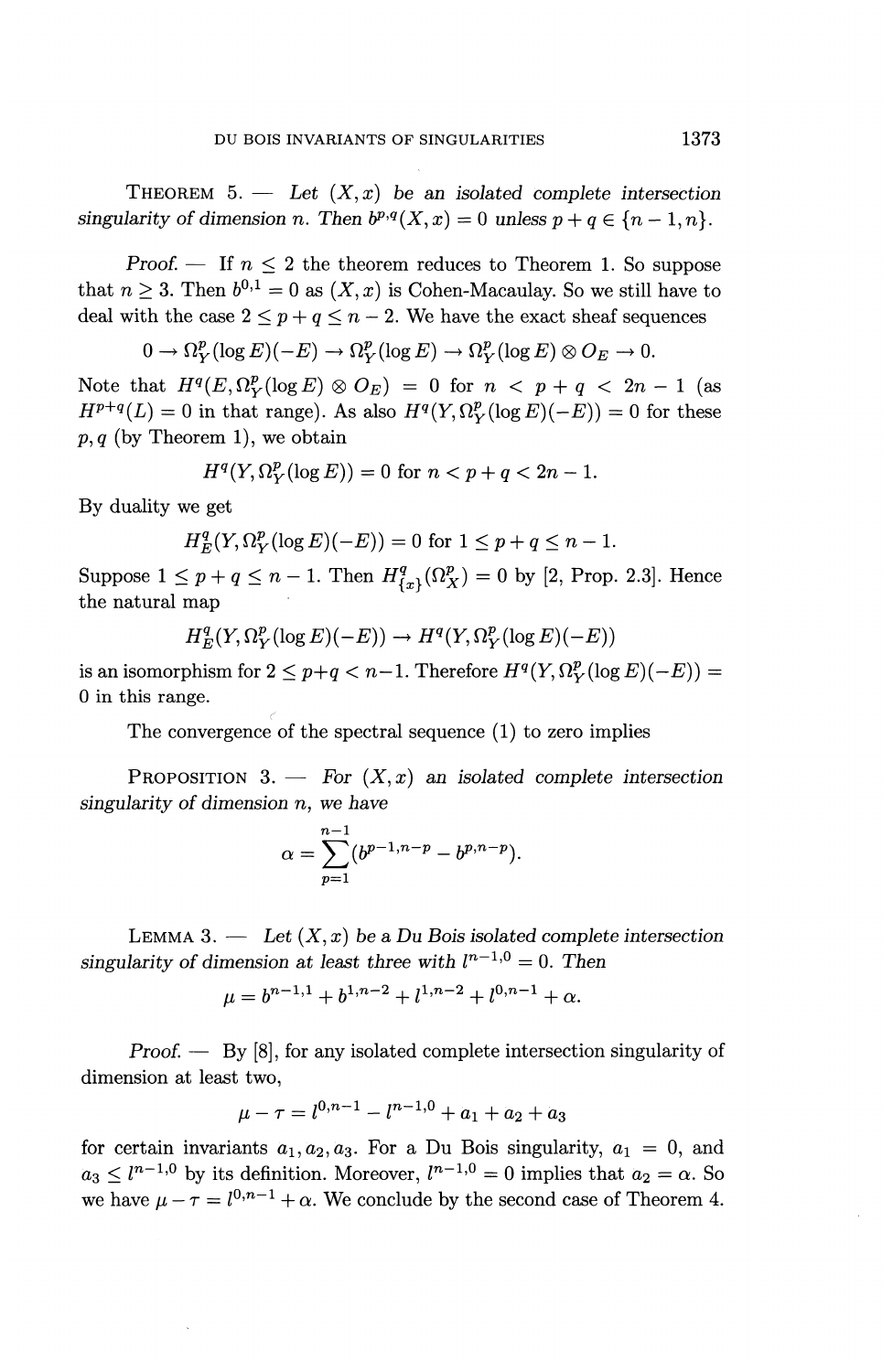THEOREM  $5.$  — Let  $(X, x)$  be an isolated complete intersection *singularity of dimension n. Then*  $b^{p,q}(X, x) = 0$  unless  $p + q \in \{n - 1, n\}.$ 

*Proof.* — If  $n \leq 2$  the theorem reduces to Theorem 1. So suppose that  $n \geq 3$ . Then  $b^{0,1} = 0$  as  $(X, x)$  is Cohen-Macaulay. So we still have to deal with the case  $2 \leq p + q \leq n - 2$ . We have the exact sheaf sequences

$$
0 \to \Omega_Y^p(\log E)(-E) \to \Omega_Y^p(\log E) \to \Omega_Y^p(\log E) \otimes O_E \to 0.
$$

Note that  $H^q(E, \Omega_V^p(\log E) \otimes O_E) = 0$  for  $n < p + q < 2n - 1$  (as  $H^{p+q}(L) = 0$  in that range). As also  $H^q(Y, \Omega_Y^p(\log E) (-E)) = 0$  for these  $p, q$  (by Theorem 1), we obtain

$$
H^{q}(Y, \Omega_{Y}^{p}(\log E)) = 0 \text{ for } n < p + q < 2n - 1.
$$

By duality we get

$$
H_E^q(Y, \Omega_Y^p(\log E)(-E)) = 0 \text{ for } 1 \le p+q \le n-1.
$$

Suppose  $1 \leq p+q \leq n-1$ . Then  $H^q_{\{x\}}(\Omega^p_X) = 0$  by [2, Prop. 2.3]. Hence the natural map

$$
H_E^q(Y, \Omega_Y^p(\log E)(-E)) \to H^q(Y, \Omega_Y^p(\log E)(-E))
$$

is an isomorphism for  $2 \leq p+q < n-1$ . Therefore  $H^q(Y, \Omega_Y^p(\log E)(-E)) =$ *0* in this range.

The convergence of the spectral sequence (1) to zero implies

PROPOSITION 3. — For *(X,x) an isolated complete intersection singularity of dimension* n, we *have*

$$
\alpha = \sum_{p=1}^{n-1} (b^{p-1,n-p} - b^{p,n-p}).
$$

LEMMA 3.  $\longrightarrow$  Let  $(X, x)$  be a Du Bois isolated complete intersection singularity of dimension at least three with  $l^{n-1,0} = 0$ . Then

$$
\mu = b^{n-1,1} + b^{1,n-2} + l^{1,n-2} + l^{0,n-1} + \alpha.
$$

*Proof. —* By [8], for any isolated complete intersection singularity of dimension at least two,

$$
\mu - \tau = l^{0,n-1} - l^{n-1,0} + a_1 + a_2 + a_3
$$

for certain invariants  $a_1, a_2, a_3$ . For a Du Bois singularity,  $a_1 = 0$ , and  $a_3 < l^{n-1,0}$  by its definition. Moreover,  $l^{n-1,0} = 0$  implies that  $a_2 = \alpha$ . So we have  $\mu - \tau = l^{0,n-1} + \alpha$ . We conclude by the second case of Theorem 4.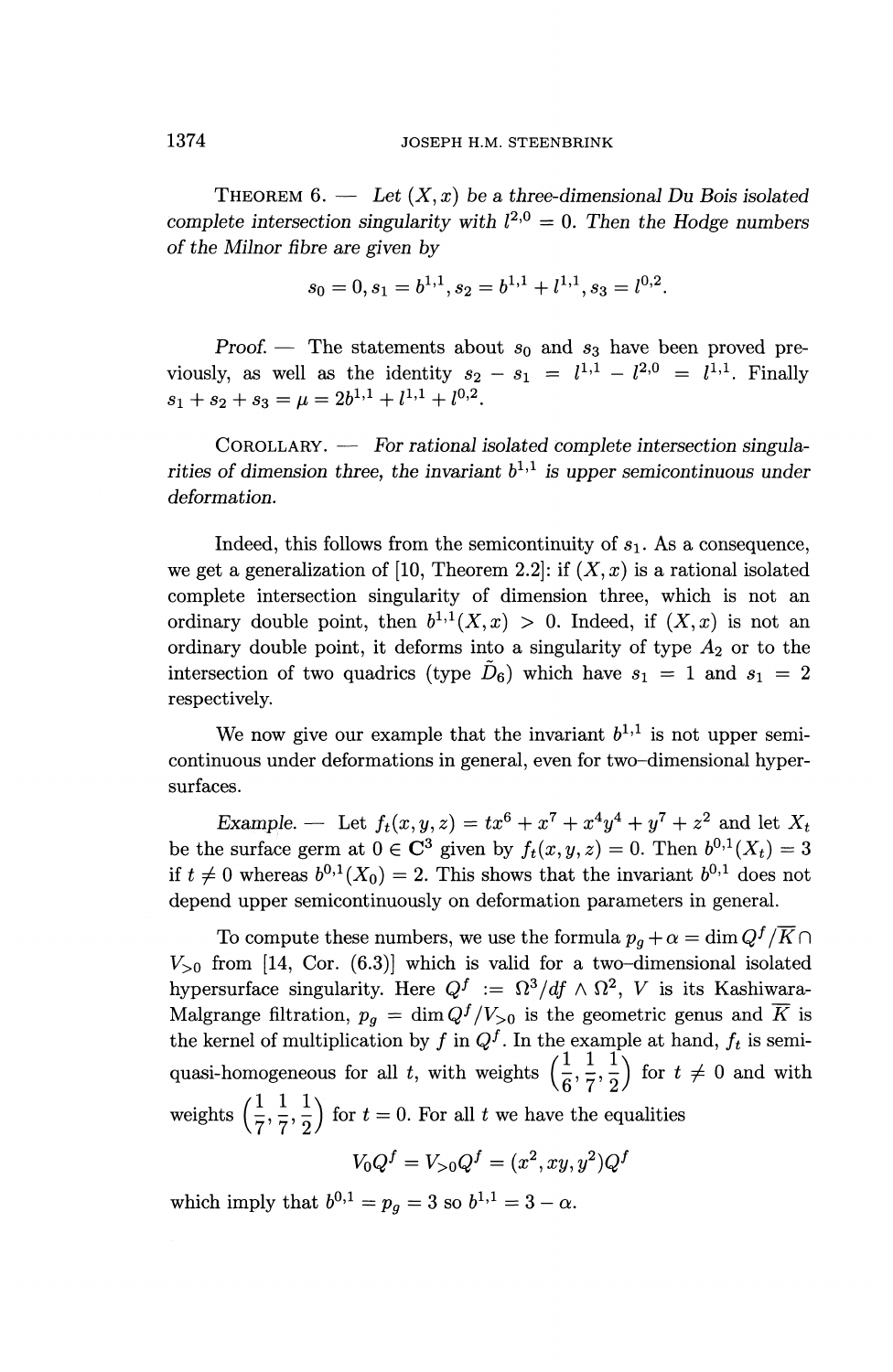THEOREM  $6.$  — Let  $(X, x)$  be a three-dimensional Du Bois isolated complete intersection singularity with  $l^{2,0} = 0$ . Then the Hodge numbers *of the Milnor fibre are given by*

$$
s_0 = 0, s_1 = b^{1,1}, s_2 = b^{1,1} + l^{1,1}, s_3 = l^{0,2}.
$$

*Proof.* — The statements about  $s_0$  and  $s_3$  have been proved pre-*Proof.* — The statements about  $s_0$  and  $s_3$  have viously, as well as the identity  $s_2 - s_1 = l^{1,1} - l^2$  $^{0}$  =  $l^{1,1}$ . Finally  $s_1 + s_2 + s_3 = \mu = 2b^{1,1} + l^{1,1} + l^{0,2}.$ 

COROLLARY. — For *rational isolated complete intersection singula*rities of dimension three, the invariant  $b^{1,1}$  is upper semicontinuous under *deformation.*

Indeed, this follows from the semicontinuity of  $s<sub>1</sub>$ . As a consequence, we get a generalization of [10, Theorem 2.2]: if  $(X, x)$  is a rational isolated complete intersection singularity of dimension three, which is not an ordinary double point, then  $b^{1,1}(X,x) > 0$ . Indeed, if  $(X,x)$  is not an ordinary double point, it deforms into a singularity of type *A^* or to the intersection of two quadrics (type  $\tilde{D}_6$ ) which have  $s_1 = 1$  and  $s_1 = 2$ respectively.

We now give our example that the invariant  $b^{1,1}$  is not upper semicontinuous under deformations in general, even for two-dimensional hypersurfaces.

*Example.* — Let  $f_t(x, y, z) = tx^6 + x^7 + x^4y^4 + y^7 + z^2$  and let X<sub>i</sub> be the surface germ at  $0 \in \mathbb{C}^3$  given by  $f_t(x,y,z) = 0$ . Then  $b^{0,1}(X_t) = 3$ if  $t \neq 0$  whereas  $b^{0,1}(X_0) = 2$ . This shows that the invariant  $b^{0,1}$  does no depend upper semicontinuously on deformation parameters in general.

To compute these numbers, we use the formula  $p_q + \alpha = \dim Q^f / \overline{K}$  $V_{>0}$  from [14, Cor. (6.3)] which is valid for a two-dimensional isolated hypersurface singularity. Here  $Q^f := \Omega^3/df \wedge \Omega^2$ , *V* is its Kashiwara-Malgrange filtration,  $p_g = \dim Q^f/V_{>0}$  is the geometric genus and  $\overline{K}$  is the kernel of multiplication by f in  $Q^f$ . In the example at hand,  $f_t$  is semiquasi-homogeneous for all t, with weights  $\left(\frac{1}{6},\frac{1}{7},\frac{1}{2}\right)$  for  $t \neq 0$  and with weights  $\left(\frac{1}{7},\frac{1}{7},\frac{1}{2}\right)$  for  $t=0$ . For all t we have the equalities

$$
V_0 Q^f = V_{>0} Q^f = (x^2, xy, y^2) Q^f
$$

which imply that  $b^{0,1} = p_q = 3$  so  $b^{1,1} = 3 - \alpha$ .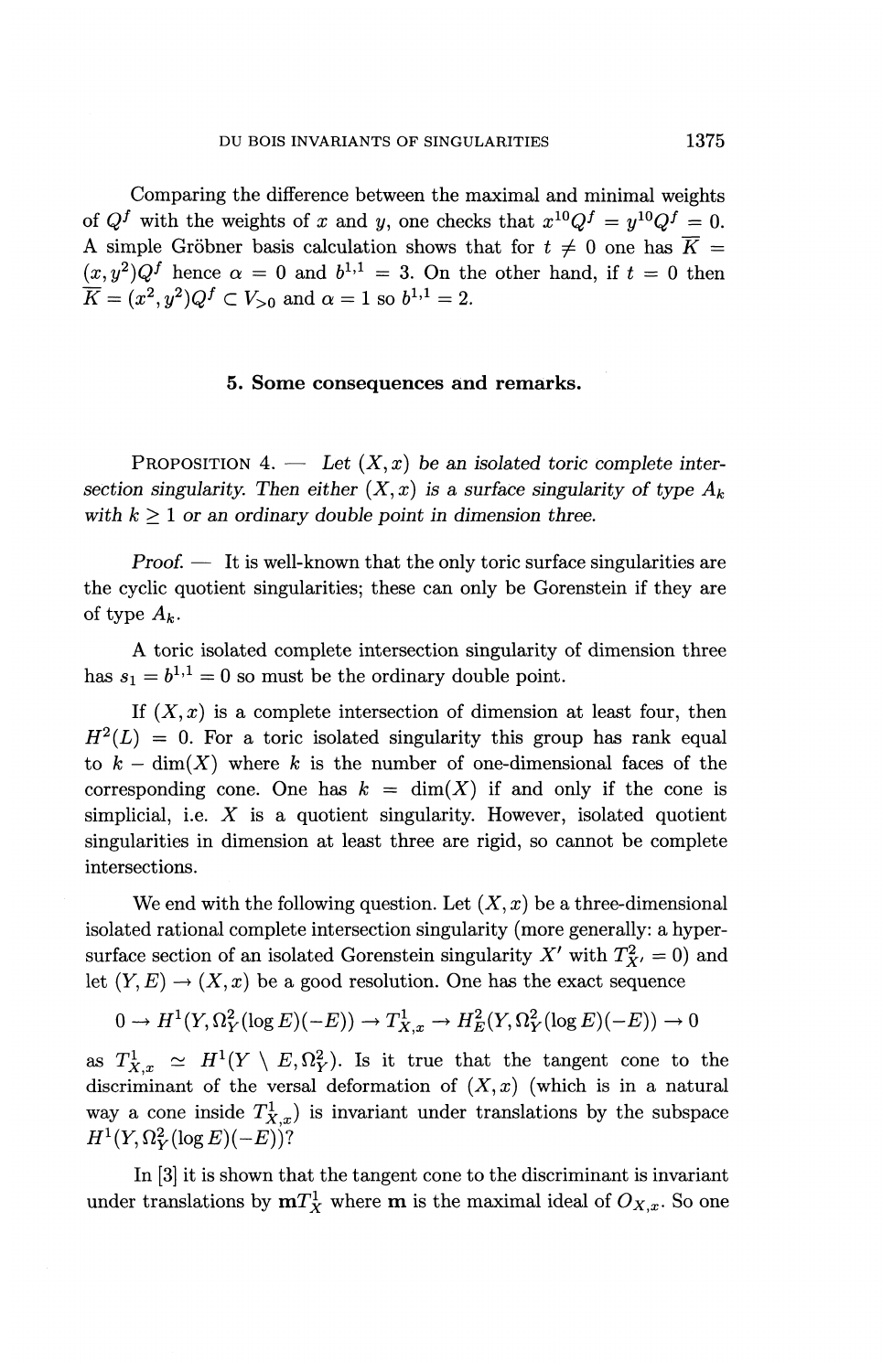Comparing the difference between the maximal and minimal weights of  $Q^f$  with the weights of *x* and *y*, one checks that  $x^{10}Q^f = y^{10}Q^f = 0$ . A simple Gröbner basis calculation shows that for  $t \neq 0$  one has  $\overline{K} =$  $(x,y^2)Q^f$  hence  $\alpha = 0$  and  $b^{1,1} = 3$ . On the other hand, if  $t = 0$  then  $K = (x^2, y^2)Q^f \subset V_{>0}$  and  $\alpha = 1$  so  $b^{1,1} = 2$ .

## **5. Some consequences and remarks.**

PROPOSITION 4. — Let  $(X, x)$  be an isolated toric complete intersection singularity. Then either  $(X, x)$  is a surface singularity of type  $A_k$ *with k >1 or an ordinary double point in dimension three.*

*Proof.* — It is well-known that the only toric surface singularities are the cyclic quotient singularities; these can only be Gorenstein if they are of type  $A_k$ .

A toric isolated complete intersection singularity of dimension three has  $s_1 = b^{1,1} = 0$  so must be the ordinary double point.

If  $(X, x)$  is a complete intersection of dimension at least four, then  $H^{2}(L) = 0$ . For a toric isolated singularity this group has rank equal to  $k - \dim(X)$  where k is the number of one-dimensional faces of the corresponding cone. One has  $k = \dim(X)$  if and only if the cone is simplicial, i.e.  $X$  is a quotient singularity. However, isolated quotient singularities in dimension at least three are rigid, so cannot be complete intersections.

We end with the following question. Let  $(X, x)$  be a three-dimensional isolated rational complete intersection singularity (more generally: a hypersurface section of an isolated Gorenstein singularity  $X'$  with  $T^2_{X'} = 0$ ) and let  $(Y, E) \to (X, x)$  be a good resolution. One has the exact sequence

$$
0 \to H^1(Y, \Omega_Y^2(\log E)(-E)) \to T^1_{X,x} \to H^2_E(Y, \Omega_Y^2(\log E)(-E)) \to 0
$$

as  $T_{X,x}^1 \simeq H^1(Y \setminus E,\Omega_Y^2)$ . Is it true that the tangent cone to the discriminant of the versal deformation of  $(X, x)$  (which is in a natural way a cone inside  $T^1_{X,x}$  is invariant under translations by the subspace  $H^1(Y, \Omega_Y^2(\log E)(-E))^?$ 

In [3] it is shown that the tangent cone to the discriminant is invariant under translations by  $mT_X^1$  where m is the maximal ideal of  $O_{X,x}$ . So one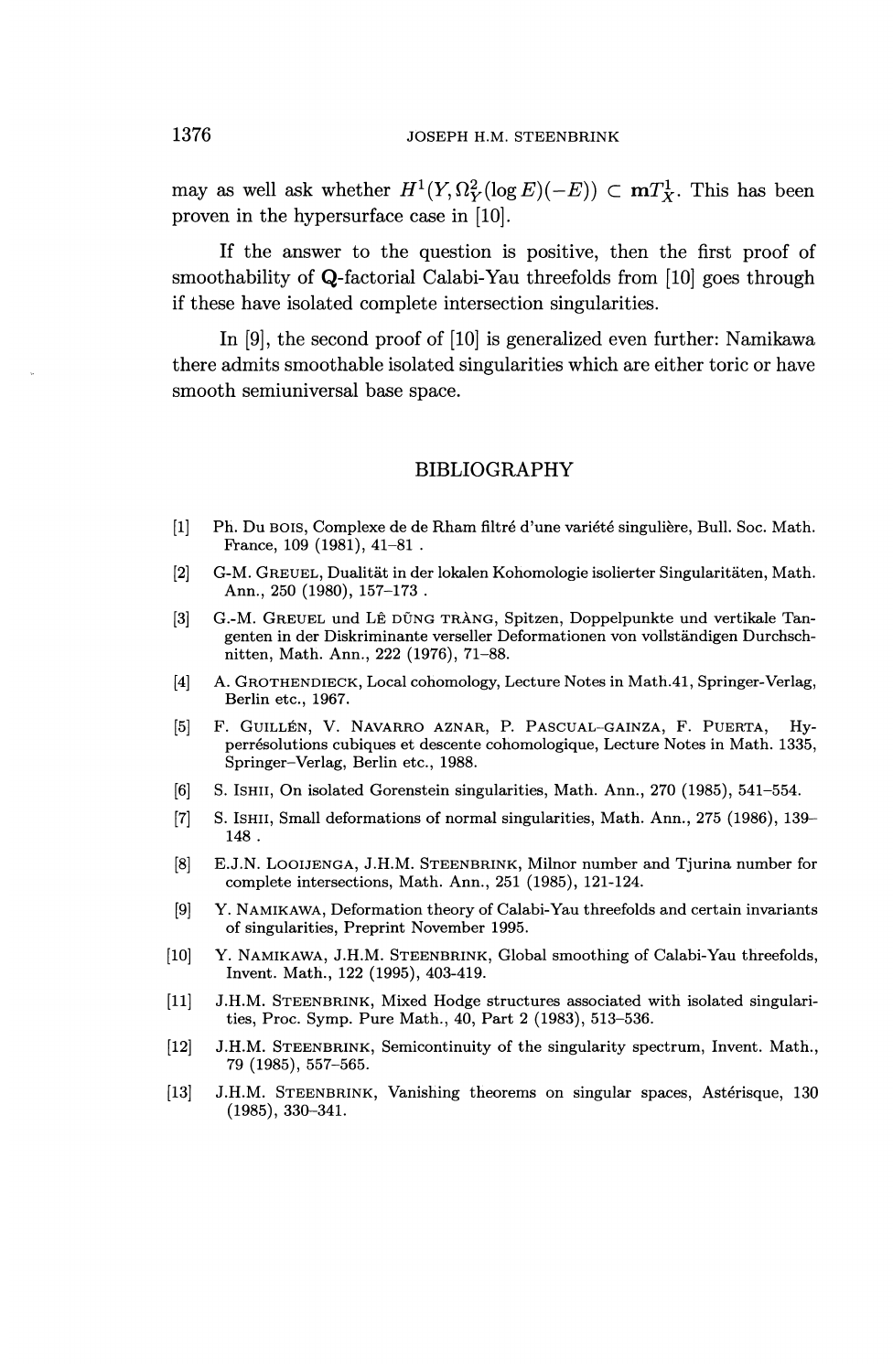may as well ask whether  $H^1(Y, \Omega_Y^2(\log E)(-E)) \subset {\textbf{m}} T^1_X$ . This has been proven in the hypersurface case in [10].

If the answer to the question is positive, then the first proof of smoothability of Q-factorial Calabi-Yau threefolds from [10] goes through if these have isolated complete intersection singularities.

In [9], the second proof of [10] is generalized even further: Namikawa there admits smoothable isolated singularities which are either toric or have smooth semiuniversal base space.

### BIBLIOGRAPHY

- [I] Ph. Du BOIS, Complexe de de Rham nitre d'une variete singuliere, Bull. Soc. Math. Prance, 109 (1981), 41-81 .
- [2] G-M. GREUEL, Dualitat in der lokalen Kohomologie isolierter Singularitaten, Math. Ann., 250 (1980), 157-173 .
- [3] G.-M. GREUEL und LE DUNG TRANG, Spitzen, Doppelpunkte und vertikale Tangenten in der Diskriminante verseller Deformationen von vollstandigen Durchschnitten, Math. Ann., 222 (1976), 71-88.
- [4] A. GROTHENDIECK, Local cohomology, Lecture Notes in Math.41, Springer-Verlag, Berlin etc., 1967.
- [5] F. GUILLEN, V. NAVARRO AZNAR, P. PASCUAL-GAINZA, F. PUERTA, Hyperresolutions cubiques et descente cohomologique, Lecture Notes in Math. 1335, Springer—Verlag, Berlin etc., 1988.
- [6] S. ISHII, On isolated Gorenstein singularities, Math. Ann., 270 (1985), 541-554.
- [7] S. ISHII, Small deformations of normal singularities, Math. Ann., 275 (1986), 139- 148 .
- [8] E.J.N. LOOIJENGA, J.H.M. STEENBRINK, Milnor number and Tjurina number for complete intersections, Math. Ann., 251 (1985), 121-124.
- [9] Y. NAMIKAWA, Deformation theory of Calabi-Yau threefolds and certain invariants of singularities, Preprint November 1995.
- [10] Y. NAMIKAWA, J.H.M. STEENBRINK, Global smoothing of Calabi-Yau threefolds, Invent. Math., 122 (1995), 403-419.
- [II] J.H.M. STEENBRINK, Mixed Hodge structures associated with isolated singularities, Proc. Symp. Pure Math., 40, Part 2 (1983), 513-536.
- [12] J.H.M. STEENBRINK, Semicontinuity of the singularity spectrum, Invent. Math., 79 (1985), 557-565.
- [13] J.H.M. STEENBRINK, Vanishing theorems on singular spaces, Asterisque, 130 (1985), 330-341.